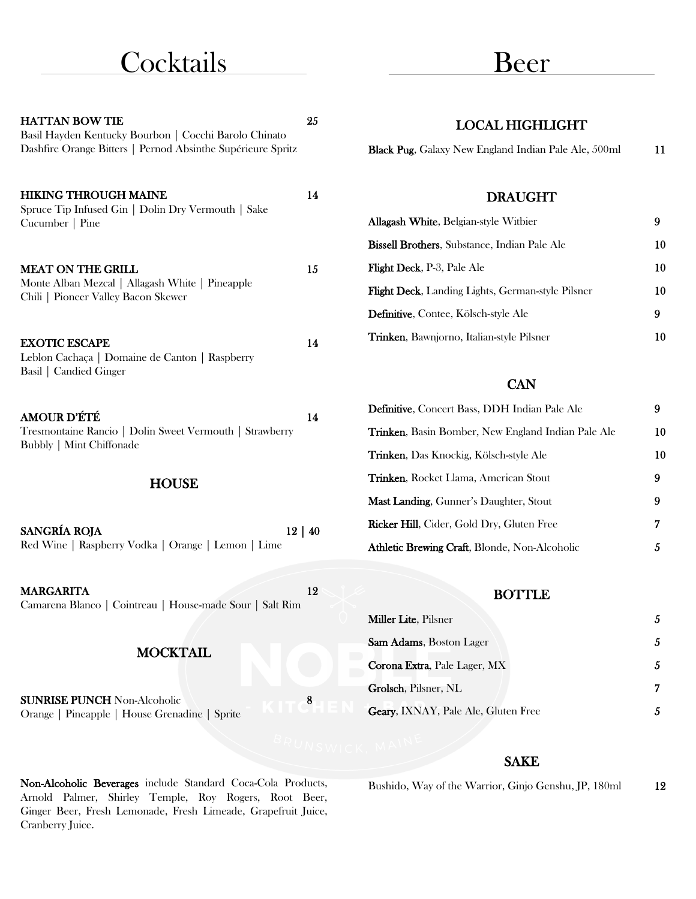## **Cocktails**

## Beer

| <b>HATTAN BOW TIE</b><br>Basil Hayden Kentucky Bourbon   Cocchi Barolo Chinato<br>Dashfire Orange Bitters   Pernod Absinthe Supérieure Spritz | 25 | <b>LOCAL HIGHLIGHT</b><br>Black Pug, Galaxy New England Indian Pale Ale, 500ml | 11 |
|-----------------------------------------------------------------------------------------------------------------------------------------------|----|--------------------------------------------------------------------------------|----|
| <b>HIKING THROUGH MAINE</b>                                                                                                                   | 14 | <b>DRAUGHT</b>                                                                 |    |
| Spruce Tip Infused Gin   Dolin Dry Vermouth   Sake<br>Cucumber   Pine                                                                         |    | Allagash White, Belgian-style Witbier                                          | 9  |
|                                                                                                                                               |    | Bissell Brothers, Substance, Indian Pale Ale                                   | 10 |
| <b>MEAT ON THE GRILL</b>                                                                                                                      | 15 | Flight Deck, P-3, Pale Ale                                                     | 10 |
| Monte Alban Mezcal   Allagash White   Pineapple<br>Chili   Pioneer Valley Bacon Skewer                                                        |    | Flight Deck, Landing Lights, German-style Pilsner                              | 10 |
|                                                                                                                                               |    | Definitive, Contee, Kölsch-style Ale                                           | 9  |
| <b>EXOTIC ESCAPE</b><br>Leblon Cachaça   Domaine de Canton   Raspberry                                                                        | 14 | Trinken, Bawnjorno, Italian-style Pilsner                                      | 10 |
| Basil   Candied Ginger                                                                                                                        |    | <b>CAN</b>                                                                     |    |
| <b>AMOUR D'ÉTÉ</b>                                                                                                                            | 14 | Definitive, Concert Bass, DDH Indian Pale Ale                                  | 9  |
| Tresmontaine Rancio   Dolin Sweet Vermouth   Strawberry<br><b>Bubbly   Mint Chiffonade</b>                                                    |    | Trinken, Basin Bomber, New England Indian Pale Ale                             | 10 |
|                                                                                                                                               |    | Trinken, Das Knockig, Kölsch-style Ale                                         | 10 |
| <b>HOUSE</b>                                                                                                                                  |    | Trinken, Rocket Llama, American Stout                                          | 9  |
|                                                                                                                                               |    | Mast Landing, Gunner's Daughter, Stout                                         | 9  |
| SANGRÍA ROJA<br>$12 \mid 40$                                                                                                                  |    | Ricker Hill, Cider, Gold Dry, Gluten Free                                      | 7  |
| Red Wine   Raspberry Vodka   Orange   Lemon   Lime                                                                                            |    | Athletic Brewing Craft, Blonde, Non-Alcoholic                                  | 5  |
|                                                                                                                                               |    |                                                                                |    |
| <b>MARGARITA</b><br>Camarena Blanco   Cointreau   House-made Sour   Salt Rim                                                                  | 12 | <b>BOTTLE</b>                                                                  |    |
|                                                                                                                                               |    | Miller Lite, Pilsner                                                           | 5  |
| <b>MOCKTAIL</b>                                                                                                                               |    | Sam Adams, Boston Lager                                                        | 5  |
|                                                                                                                                               |    | Corona Extra, Pale Lager, MX                                                   | 5  |
| <b>SUNRISE PUNCH Non-Alcoholic</b>                                                                                                            | 8  | Grolsch, Pilsner, NL                                                           | 7  |
| Orange   Pineapple   House Grenadine   Sprite                                                                                                 |    | Geary, IXNAY, Pale Ale, Gluten Free                                            | 5  |
|                                                                                                                                               |    |                                                                                |    |

#### SAKE

Non-Alcoholic Beverages include Standard Coca-Cola Products, Arnold Palmer, Shirley Temple, Roy Rogers, Root Beer, Ginger Beer, Fresh Lemonade, Fresh Limeade, Grapefruit Juice, Cranberry Juice.

Bushido, Way of the Warrior, Ginjo Genshu, JP, 180ml 12